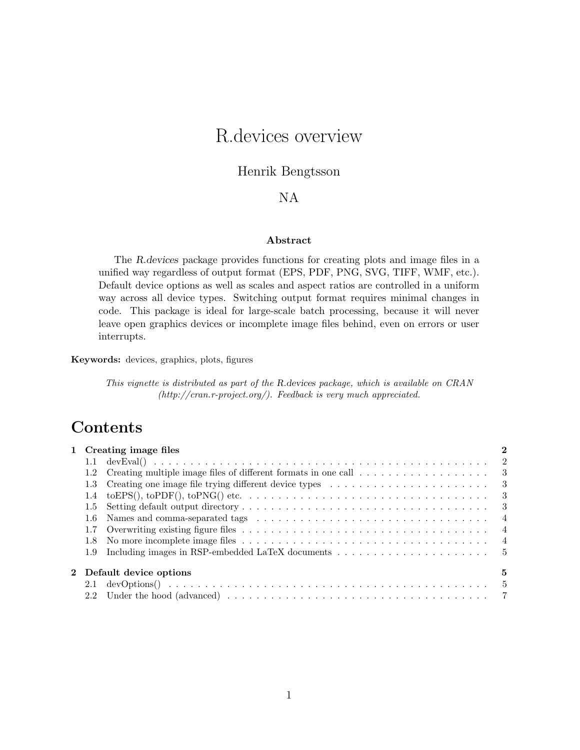# R.devices overview

#### Henrik Bengtsson

#### NA

#### Abstract

The R.devices package provides functions for creating plots and image files in a unified way regardless of output format (EPS, PDF, PNG, SVG, TIFF, WMF, etc.). Default device options as well as scales and aspect ratios are controlled in a uniform way across all device types. Switching output format requires minimal changes in code. This package is ideal for large-scale batch processing, because it will never leave open graphics devices or incomplete image files behind, even on errors or user interrupts.

Keywords: devices, graphics, plots, figures

This vignette is distributed as part of the R.devices package, which is available on CRAN [\(http://cran.r-project.org/\)](http://cran.r-project.org/). Feedback is very much appreciated.

### **Contents**

| 1 Creating image files |                          |  |                |  |  |  |  |
|------------------------|--------------------------|--|----------------|--|--|--|--|
|                        |                          |  |                |  |  |  |  |
|                        |                          |  |                |  |  |  |  |
|                        |                          |  |                |  |  |  |  |
|                        |                          |  |                |  |  |  |  |
|                        | 1.5                      |  |                |  |  |  |  |
|                        |                          |  | $\overline{4}$ |  |  |  |  |
|                        |                          |  |                |  |  |  |  |
|                        | 1.8                      |  |                |  |  |  |  |
|                        |                          |  |                |  |  |  |  |
|                        | 2 Default device options |  |                |  |  |  |  |
|                        |                          |  |                |  |  |  |  |
|                        |                          |  |                |  |  |  |  |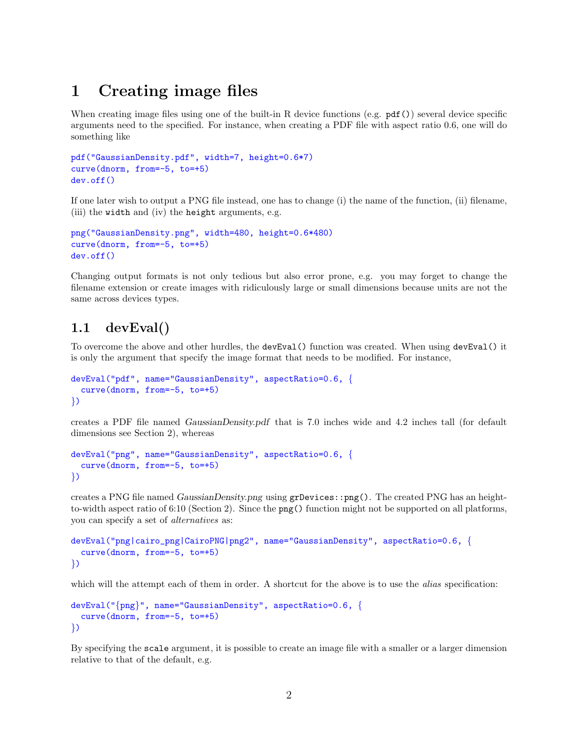## <span id="page-1-0"></span>1 Creating image files

When creating image files using one of the built-in R device functions (e.g.  $pdf()$ ) several device specific arguments need to the specified. For instance, when creating a PDF file with aspect ratio 0.6, one will do something like

```
pdf("GaussianDensity.pdf", width=7, height=0.6*7)
curve(dnorm, from=-5, to=+5)
dev.off()
```
If one later wish to output a PNG file instead, one has to change (i) the name of the function, (ii) filename, (iii) the width and (iv) the height arguments, e.g.

```
png("GaussianDensity.png", width=480, height=0.6*480)
curve(dnorm, from=-5, to=+5)
dev.off()
```
Changing output formats is not only tedious but also error prone, e.g. you may forget to change the filename extension or create images with ridiculously large or small dimensions because units are not the same across devices types.

#### <span id="page-1-1"></span>1.1 devEval()

To overcome the above and other hurdles, the devEval() function was created. When using devEval() it is only the argument that specify the image format that needs to be modified. For instance,

```
devEval("pdf", name="GaussianDensity", aspectRatio=0.6, {
  curve(dnorm, from=-5, to=+5)
})
```
creates a PDF file named GaussianDensity.pdf that is 7.0 inches wide and 4.2 inches tall (for default dimensions see Section [2\)](#page-4-1), whereas

```
devEval("png", name="GaussianDensity", aspectRatio=0.6, {
  curve(dnorm, from=-5, to=+5)
})
```
creates a PNG file named GaussianDensity.png using grDevices::png(). The created PNG has an heightto-width aspect ratio of 6:10 (Section [2\)](#page-4-1). Since the png() function might not be supported on all platforms, you can specify a set of alternatives as:

```
devEval("png|cairo_png|CairoPNG|png2", name="GaussianDensity", aspectRatio=0.6, {
  curve(dnorm, from=-5, to=+5)
})
```
which will the attempt each of them in order. A shortcut for the above is to use the *alias* specification:

```
devEval("{png}", name="GaussianDensity", aspectRatio=0.6, {
  curve(dnorm, from=-5, to=+5)
})
```
By specifying the scale argument, it is possible to create an image file with a smaller or a larger dimension relative to that of the default, e.g.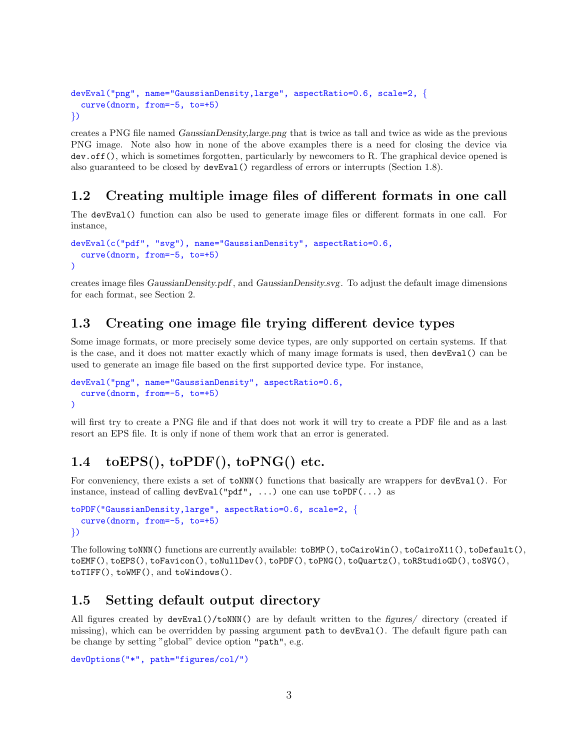```
devEval("png", name="GaussianDensity,large", aspectRatio=0.6, scale=2, {
  curve(dnorm, from=-5, to=+5)
})
```
creates a PNG file named GaussianDensity,large.png that is twice as tall and twice as wide as the previous PNG image. Note also how in none of the above examples there is a need for closing the device via dev.off(), which is sometimes forgotten, particularly by newcomers to R. The graphical device opened is also guaranteed to be closed by devEval() regardless of errors or interrupts (Section [1.8\)](#page-3-2).

#### <span id="page-2-0"></span>1.2 Creating multiple image files of different formats in one call

The devEval() function can also be used to generate image files or different formats in one call. For instance,

```
devEval(c("pdf", "svg"), name="GaussianDensity", aspectRatio=0.6,
  curve(dnorm, from=-5, to=+5)
)
```
creates image files GaussianDensity.pdf , and GaussianDensity.svg. To adjust the default image dimensions for each format, see Section [2.](#page-4-1)

#### <span id="page-2-1"></span>1.3 Creating one image file trying different device types

Some image formats, or more precisely some device types, are only supported on certain systems. If that is the case, and it does not matter exactly which of many image formats is used, then devEval() can be used to generate an image file based on the first supported device type. For instance,

```
devEval("png", name="GaussianDensity", aspectRatio=0.6,
  curve(dnorm, from=-5, to=+5)
\lambda
```
will first try to create a PNG file and if that does not work it will try to create a PDF file and as a last resort an EPS file. It is only if none of them work that an error is generated.

### <span id="page-2-2"></span>1.4 toEPS(), toPDF(), toPNG() etc.

For conveniency, there exists a set of  $\text{toNNN}()$  functions that basically are wrappers for  $\text{devEval}()$ . For instance, instead of calling  $devEval("pdf", \ldots)$  one can use  $to PDF(\ldots)$  as

```
toPDF("GaussianDensity,large", aspectRatio=0.6, scale=2, {
  curve(dnorm, from=-5, to=+5)
})
```
The following toNNN() functions are currently available: toBMP(), toCairoWin(), toCairoX11(), toDefault(), toEMF(), toEPS(), toFavicon(), toNullDev(), toPDF(), toPNG(), toQuartz(), toRStudioGD(), toSVG(), toTIFF(), toWMF(), and toWindows().

#### <span id="page-2-3"></span>1.5 Setting default output directory

All figures created by devEval()/toNNN() are by default written to the figures/ directory (created if missing), which can be overridden by passing argument path to devEval(). The default figure path can be change by setting "global" device option "path", e.g.

```
devOptions("*", path="figures/col/")
```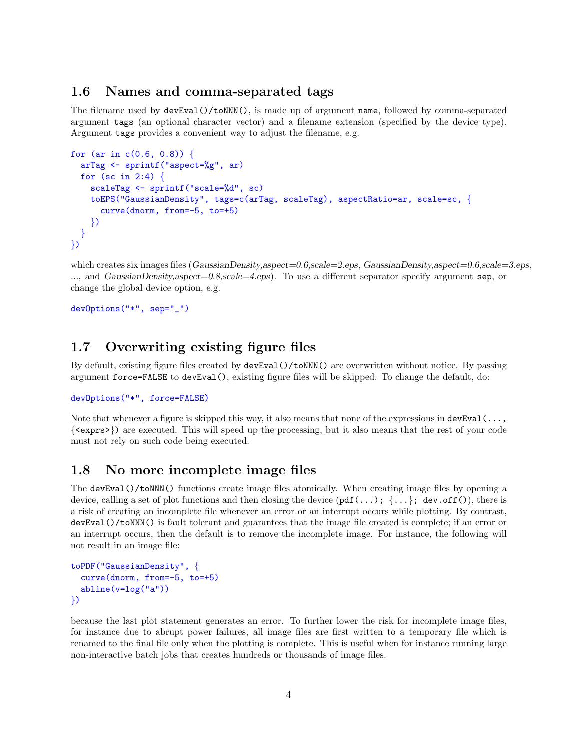#### <span id="page-3-0"></span>1.6 Names and comma-separated tags

The filename used by devEval()/toNNN(), is made up of argument name, followed by comma-separated argument tags (an optional character vector) and a filename extension (specified by the device type). Argument tags provides a convenient way to adjust the filename, e.g.

```
for (ar in c(0.6, 0.8)) {
  arTag <- sprintf("aspect=%g", ar)
  for (sc in 2:4) \{scaleTag <- sprintf("scale=%d", sc)
    toEPS("GaussianDensity", tags=c(arTag, scaleTag), aspectRatio=ar, scale=sc, {
      curve(dnorm, from=-5, to=+5)
    })
  }
})
```
which creates six images files (GaussianDensity,aspect=0.6,scale=2.eps, GaussianDensity,aspect=0.6,scale=3.eps, ..., and GaussianDensity,aspect=0.8,scale=4.eps). To use a different separator specify argument sep, or change the global device option, e.g.

devOptions("\*", sep="\_")

#### <span id="page-3-1"></span>1.7 Overwriting existing figure files

By default, existing figure files created by  $devEval() / to NNN()$  are overwritten without notice. By passing argument force=FALSE to devEval(), existing figure files will be skipped. To change the default, do:

```
devOptions("*", force=FALSE)
```
Note that whenever a figure is skipped this way, it also means that none of the expressions in  $devEval(\ldots,$ {<exprs>}) are executed. This will speed up the processing, but it also means that the rest of your code must not rely on such code being executed.

#### <span id="page-3-2"></span>1.8 No more incomplete image files

The devEval()/toNNN() functions create image files atomically. When creating image files by opening a device, calling a set of plot functions and then closing the device  $(\text{pdf}(...); \{... \}; \text{dev-off}())$ , there is a risk of creating an incomplete file whenever an error or an interrupt occurs while plotting. By contrast, devEval()/toNNN() is fault tolerant and guarantees that the image file created is complete; if an error or an interrupt occurs, then the default is to remove the incomplete image. For instance, the following will not result in an image file:

```
toPDF("GaussianDensity", {
  curve(dnorm, from=-5, to=+5)
  abline(v=log("a"))
})
```
because the last plot statement generates an error. To further lower the risk for incomplete image files, for instance due to abrupt power failures, all image files are first written to a temporary file which is renamed to the final file only when the plotting is complete. This is useful when for instance running large non-interactive batch jobs that creates hundreds or thousands of image files.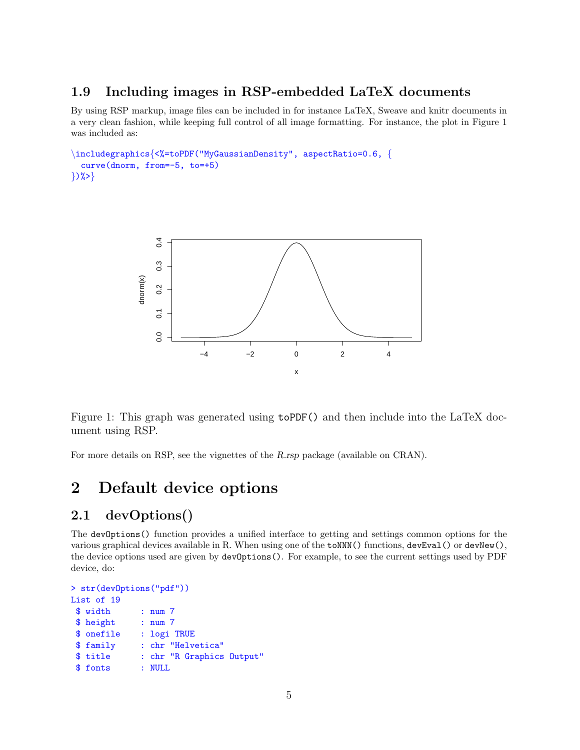### <span id="page-4-0"></span>1.9 Including images in RSP-embedded LaTeX documents

By using RSP markup, image files can be included in for instance LaTeX, Sweave and knitr documents in a very clean fashion, while keeping full control of all image formatting. For instance, the plot in Figure [1](#page-4-3) was included as:

```
\includegraphics{<%=toPDF("MyGaussianDensity", aspectRatio=0.6, {
  curve(dnorm, from=-5, to=+5)
\{)%>\}
```


<span id="page-4-3"></span>Figure 1: This graph was generated using toPDF() and then include into the LaTeX document using RSP.

For more details on RSP, see the vignettes of the R.rsp package (available on [CRAN\)](cran.r-project.org/package=R.rsp).

### <span id="page-4-1"></span>2 Default device options

#### <span id="page-4-2"></span>2.1 devOptions()

The devOptions() function provides a unified interface to getting and settings common options for the various graphical devices available in R. When using one of the  $\text{toNNN}()$  functions,  $\text{devEval}(() \text{ or } \text{devNew}(),$ the device options used are given by devOptions(). For example, to see the current settings used by PDF device, do:

```
> str(devOptions("pdf"))
List of 19
 $ width : num 7
 $ height : num 7
 $ onefile : logi TRUE
 $ family : chr "Helvetica"
 $ title : chr "R Graphics Output"
 $ fonts : NULL
```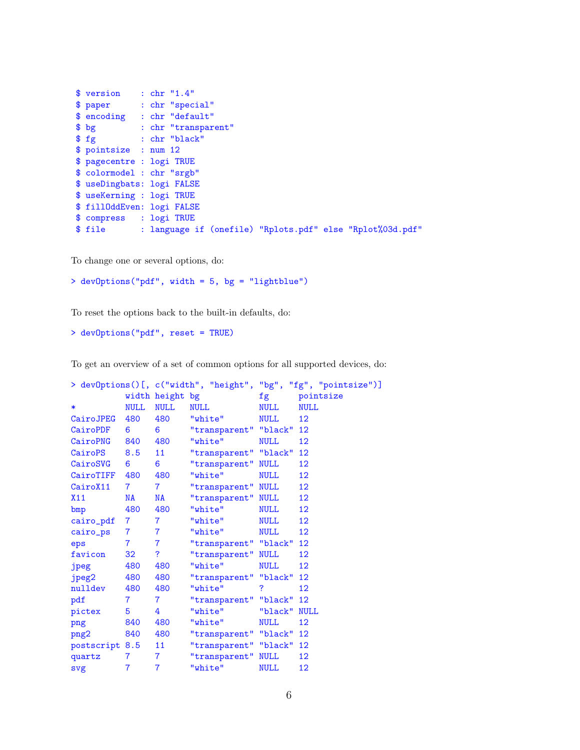```
$ version : chr "1.4"
$ paper : chr "special"
$ encoding : chr "default"
$ bg : chr "transparent"
          : chr "black"
$ pointsize : num 12
$ pagecentre : logi TRUE
$ colormodel : chr "srgb"
$ useDingbats: logi FALSE
$ useKerning : logi TRUE
$ fillOddEven: logi FALSE
$ compress : logi TRUE
$ file : language if (onefile) "Rplots.pdf" else "Rplot%03d.pdf"
```
To change one or several options, do:

> devOptions("pdf", width = 5, bg = "lightblue")

To reset the options back to the built-in defaults, do:

```
> devOptions("pdf", reset = TRUE)
```
To get an overview of a set of common options for all supported devices, do:

|  |                |                |                 |                          | > devOptions()[, c("width", "height", "bg", "fg", "pointsize")] |             |  |
|--|----------------|----------------|-----------------|--------------------------|-----------------------------------------------------------------|-------------|--|
|  |                |                | width height bg |                          | fg                                                              | pointsize   |  |
|  | $\ast$         | <b>NULL</b>    | <b>NULL</b>     | <b>NULL</b>              | <b>NULL</b>                                                     | <b>NULL</b> |  |
|  | CairoJPEG      | 480            | 480             | "white"                  | <b>NULL</b>                                                     | 12          |  |
|  | CairoPDF       | 6              | 6               | "transparent" "black"    |                                                                 | 12          |  |
|  | CairoPNG       | 840            | 480             | "white"                  | <b>NULL</b>                                                     | 12          |  |
|  | CairoPS        | 8.5            | 11              | "transparent" "black"    |                                                                 | 12          |  |
|  | CairoSVG       | 6              | 6               | "transparent"            | <b>NULL</b>                                                     | 12          |  |
|  | CairoTIFF      | 480            | 480             | "white"                  | <b>NULL</b>                                                     | 12          |  |
|  | CairoX11       | $\overline{7}$ | $\overline{7}$  | "transparent" NULL       |                                                                 | 12          |  |
|  | X11            | NA             | NA              | "transparent" NULL       |                                                                 | 12          |  |
|  | bmp            | 480            | 480             | "white"                  | <b>NULL</b>                                                     | 12          |  |
|  | cairo_pdf      | $7 \quad \Box$ | $\overline{7}$  | "white"                  | <b>NULL</b>                                                     | 12          |  |
|  | cairo_ps       | $7 -$          | $\overline{7}$  | "white"                  | <b>NULL</b>                                                     | 12          |  |
|  | eps            | $7 -$          | $\overline{7}$  | "transparent" "black"    |                                                                 | 12          |  |
|  | favicon        | 32             | ?               | "transparent" NULL       |                                                                 | 12          |  |
|  | jpeg           | 480            | 480             | "white"                  | NULL                                                            | 12          |  |
|  | jpeg2          | 480            | 480             | "transparent" "black" 12 |                                                                 |             |  |
|  | nulldev        | 480            | 480             | "white"                  | ?                                                               | 12          |  |
|  | pdf            | $7^{\circ}$    | $\overline{7}$  | "transparent" "black" 12 |                                                                 |             |  |
|  | pictex         | $5 -$          | 4               | "white"                  | "black"                                                         | <b>NULL</b> |  |
|  | png            | 840            | 480             | "white"                  | NULL                                                            | 12          |  |
|  | png2           | 840            | 480             | "transparent" "black" 12 |                                                                 |             |  |
|  | postscript 8.5 |                | 11 <sup>1</sup> | "transparent" "black" 12 |                                                                 |             |  |
|  | quartz         | $\overline{7}$ | $\overline{7}$  | "transparent" NULL       |                                                                 | 12          |  |
|  | svg            | $\overline{7}$ | $\overline{7}$  | "white"                  | <b>NULL</b>                                                     | 12          |  |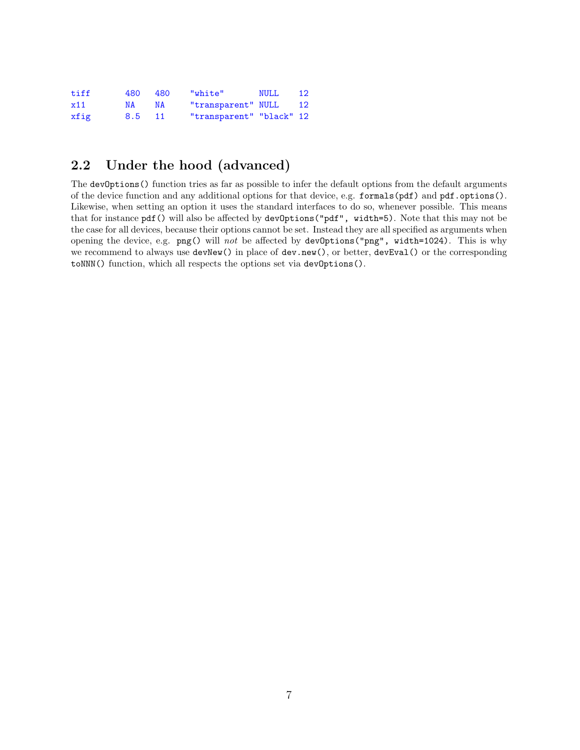| tiff | 480    | 480 | "white"                  | <b>NULL</b> | <b>12</b> |
|------|--------|-----|--------------------------|-------------|-----------|
| x11  | N A    | N A | "transparent" NULL       |             | <b>12</b> |
| xfig | 8.5 11 |     | "transparent" "black" 12 |             |           |

### <span id="page-6-0"></span>2.2 Under the hood (advanced)

The devOptions () function tries as far as possible to infer the default options from the default arguments of the device function and any additional options for that device, e.g. formals(pdf) and pdf.options(). Likewise, when setting an option it uses the standard interfaces to do so, whenever possible. This means that for instance pdf() will also be affected by devOptions("pdf", width=5). Note that this may not be the case for all devices, because their options cannot be set. Instead they are all specified as arguments when opening the device, e.g.  $\text{png}()$  will not be affected by devOptions("png", width=1024). This is why we recommend to always use devNew() in place of dev.new(), or better, devEval() or the corresponding toNNN() function, which all respects the options set via devOptions().